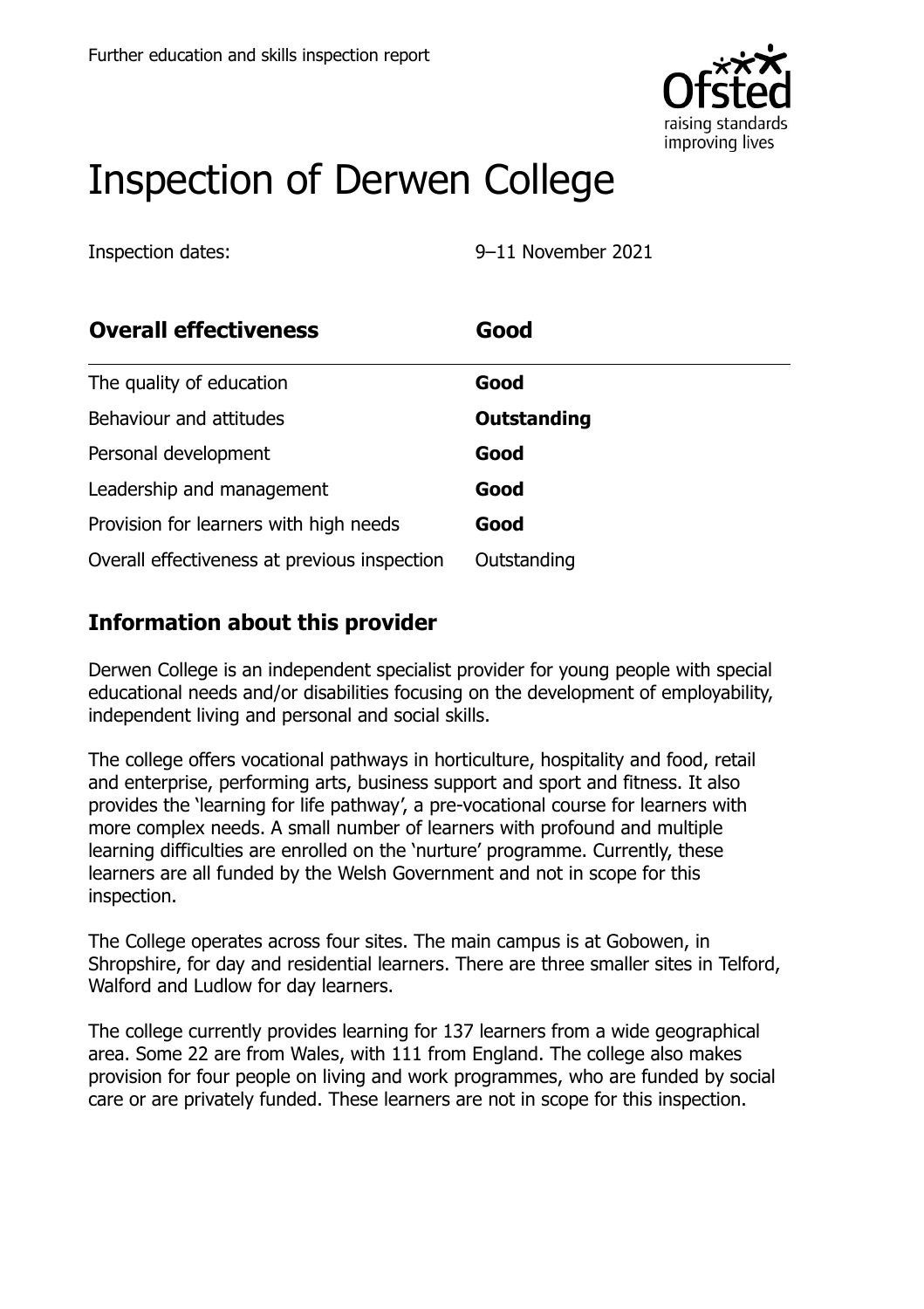

# Inspection of Derwen College

Inspection dates: 9–11 November 2021

| <b>Overall effectiveness</b>                 | Good               |
|----------------------------------------------|--------------------|
| The quality of education                     | Good               |
| Behaviour and attitudes                      | <b>Outstanding</b> |
| Personal development                         | Good               |
| Leadership and management                    | Good               |
| Provision for learners with high needs       | Good               |
| Overall effectiveness at previous inspection | Outstanding        |

# **Information about this provider**

Derwen College is an independent specialist provider for young people with special educational needs and/or disabilities focusing on the development of employability, independent living and personal and social skills.

The college offers vocational pathways in horticulture, hospitality and food, retail and enterprise, performing arts, business support and sport and fitness. It also provides the 'learning for life pathway', a pre-vocational course for learners with more complex needs. A small number of learners with profound and multiple learning difficulties are enrolled on the 'nurture' programme. Currently, these learners are all funded by the Welsh Government and not in scope for this inspection.

The College operates across four sites. The main campus is at Gobowen, in Shropshire, for day and residential learners. There are three smaller sites in Telford, Walford and Ludlow for day learners.

The college currently provides learning for 137 learners from a wide geographical area. Some 22 are from Wales, with 111 from England. The college also makes provision for four people on living and work programmes, who are funded by social care or are privately funded. These learners are not in scope for this inspection.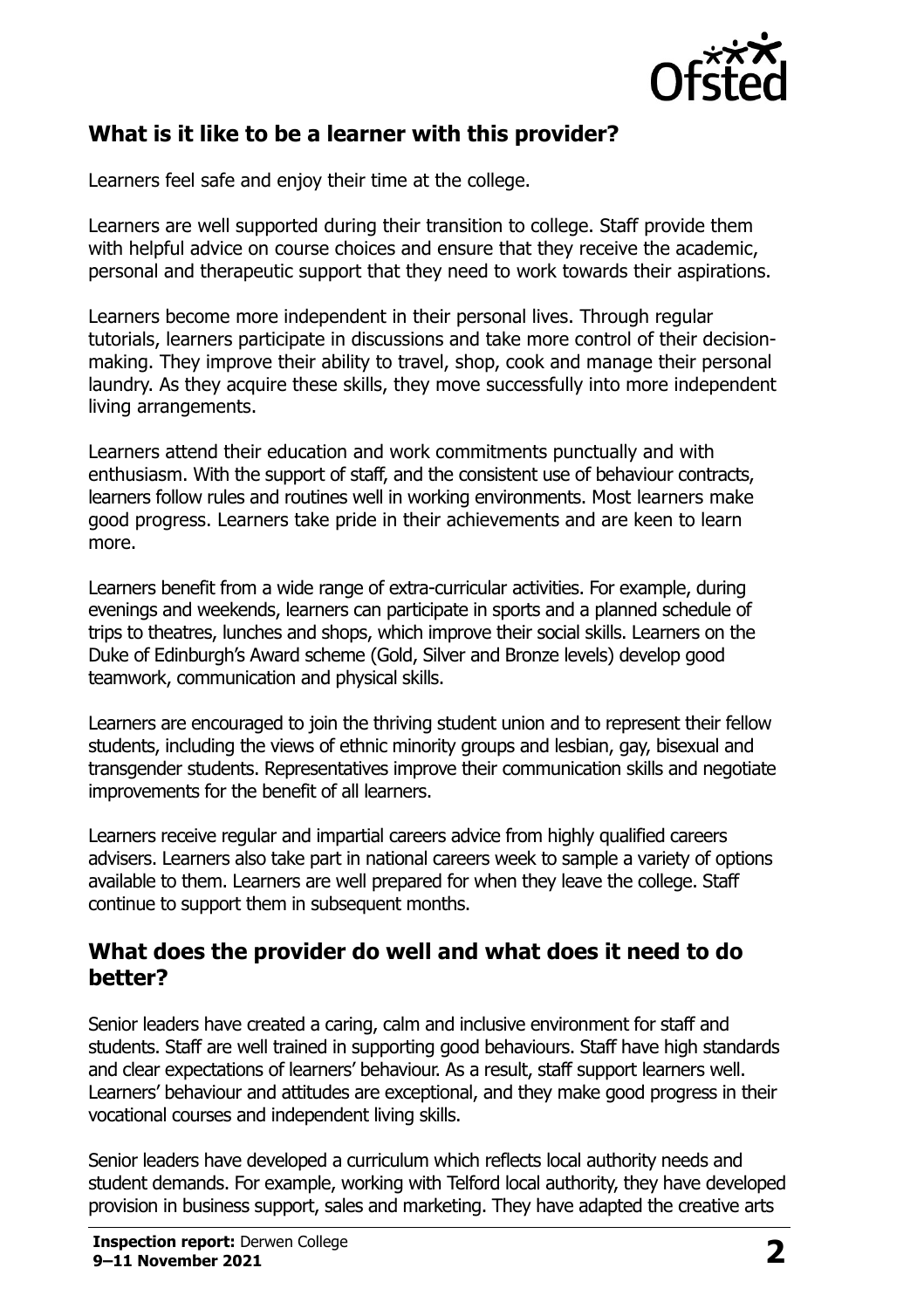

## **What is it like to be a learner with this provider?**

Learners feel safe and enjoy their time at the college.

Learners are well supported during their transition to college. Staff provide them with helpful advice on course choices and ensure that they receive the academic, personal and therapeutic support that they need to work towards their aspirations.

Learners become more independent in their personal lives. Through regular tutorials, learners participate in discussions and take more control of their decisionmaking. They improve their ability to travel, shop, cook and manage their personal laundry. As they acquire these skills, they move successfully into more independent living arrangements.

Learners attend their education and work commitments punctually and with enthusiasm. With the support of staff, and the consistent use of behaviour contracts, learners follow rules and routines well in working environments. Most learners make good progress. Learners take pride in their achievements and are keen to learn more.

Learners benefit from a wide range of extra-curricular activities. For example, during evenings and weekends, learners can participate in sports and a planned schedule of trips to theatres, lunches and shops, which improve their social skills. Learners on the Duke of Edinburgh's Award scheme (Gold, Silver and Bronze levels) develop good teamwork, communication and physical skills.

Learners are encouraged to join the thriving student union and to represent their fellow students, including the views of ethnic minority groups and lesbian, gay, bisexual and transgender students. Representatives improve their communication skills and negotiate improvements for the benefit of all learners.

Learners receive regular and impartial careers advice from highly qualified careers advisers. Learners also take part in national careers week to sample a variety of options available to them. Learners are well prepared for when they leave the college. Staff continue to support them in subsequent months.

#### **What does the provider do well and what does it need to do better?**

Senior leaders have created a caring, calm and inclusive environment for staff and students. Staff are well trained in supporting good behaviours. Staff have high standards and clear expectations of learners' behaviour. As a result, staff support learners well. Learners' behaviour and attitudes are exceptional, and they make good progress in their vocational courses and independent living skills.

Senior leaders have developed a curriculum which reflects local authority needs and student demands. For example, working with Telford local authority, they have developed provision in business support, sales and marketing. They have adapted the creative arts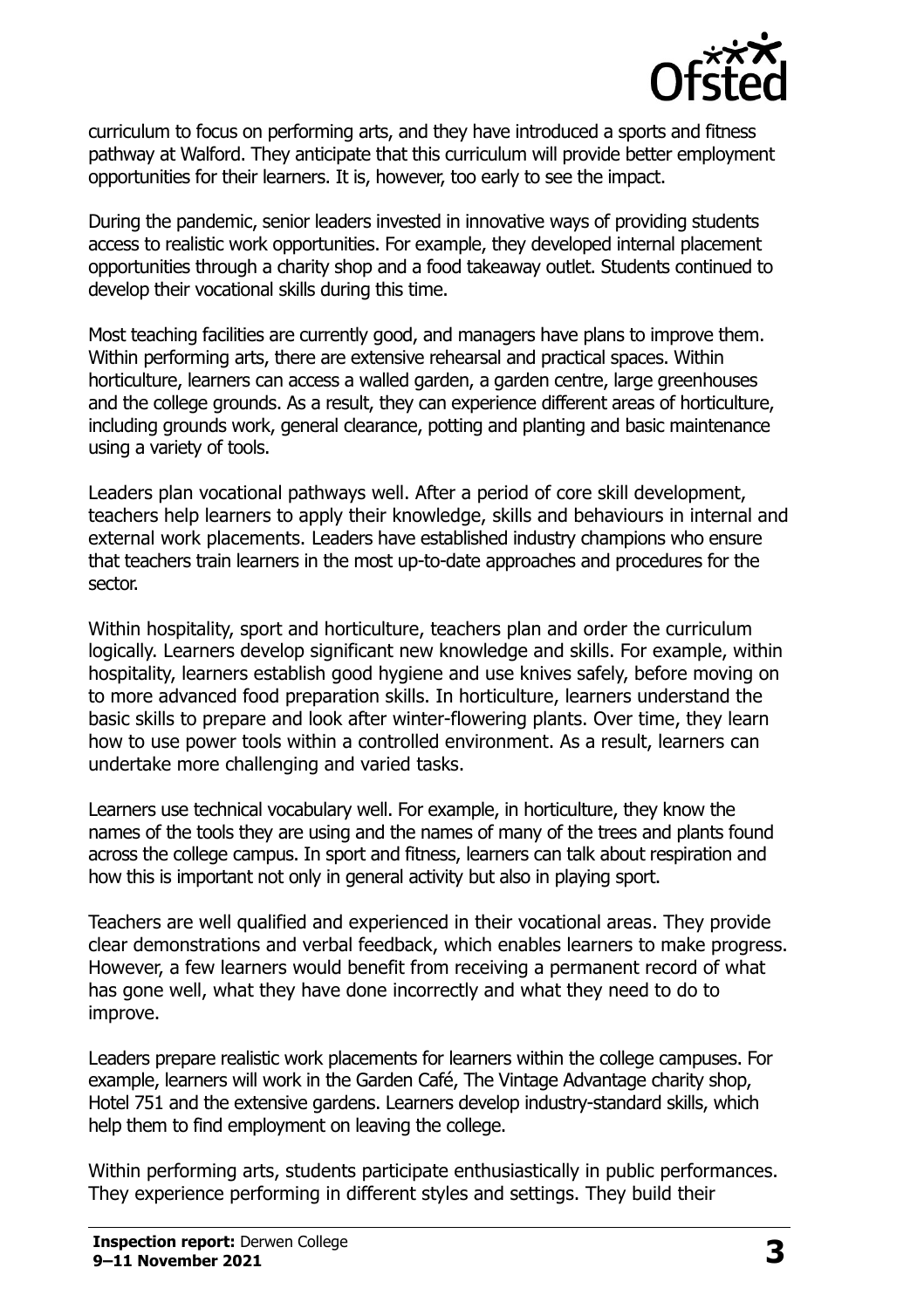

curriculum to focus on performing arts, and they have introduced a sports and fitness pathway at Walford. They anticipate that this curriculum will provide better employment opportunities for their learners. It is, however, too early to see the impact.

During the pandemic, senior leaders invested in innovative ways of providing students access to realistic work opportunities. For example, they developed internal placement opportunities through a charity shop and a food takeaway outlet. Students continued to develop their vocational skills during this time.

Most teaching facilities are currently good, and managers have plans to improve them. Within performing arts, there are extensive rehearsal and practical spaces. Within horticulture, learners can access a walled garden, a garden centre, large greenhouses and the college grounds. As a result, they can experience different areas of horticulture, including grounds work, general clearance, potting and planting and basic maintenance using a variety of tools.

Leaders plan vocational pathways well. After a period of core skill development, teachers help learners to apply their knowledge, skills and behaviours in internal and external work placements. Leaders have established industry champions who ensure that teachers train learners in the most up-to-date approaches and procedures for the sector.

Within hospitality, sport and horticulture, teachers plan and order the curriculum logically. Learners develop significant new knowledge and skills. For example, within hospitality, learners establish good hygiene and use knives safely, before moving on to more advanced food preparation skills. In horticulture, learners understand the basic skills to prepare and look after winter-flowering plants. Over time, they learn how to use power tools within a controlled environment. As a result, learners can undertake more challenging and varied tasks.

Learners use technical vocabulary well. For example, in horticulture, they know the names of the tools they are using and the names of many of the trees and plants found across the college campus. In sport and fitness, learners can talk about respiration and how this is important not only in general activity but also in playing sport.

Teachers are well qualified and experienced in their vocational areas. They provide clear demonstrations and verbal feedback, which enables learners to make progress. However, a few learners would benefit from receiving a permanent record of what has gone well, what they have done incorrectly and what they need to do to improve.

Leaders prepare realistic work placements for learners within the college campuses. For example, learners will work in the Garden Café, The Vintage Advantage charity shop, Hotel 751 and the extensive gardens. Learners develop industry-standard skills, which help them to find employment on leaving the college.

Within performing arts, students participate enthusiastically in public performances. They experience performing in different styles and settings. They build their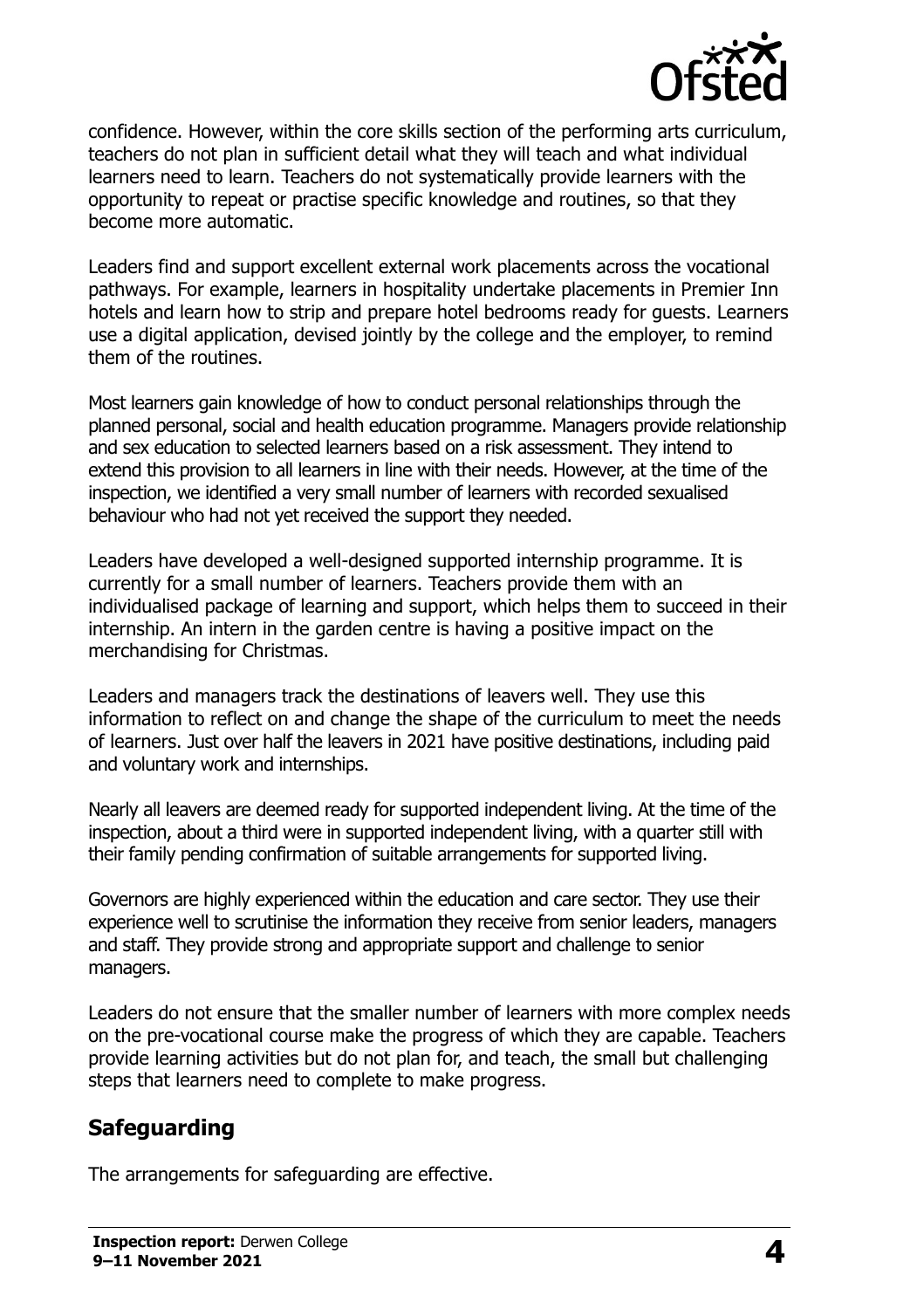

confidence. However, within the core skills section of the performing arts curriculum, teachers do not plan in sufficient detail what they will teach and what individual learners need to learn. Teachers do not systematically provide learners with the opportunity to repeat or practise specific knowledge and routines, so that they become more automatic.

Leaders find and support excellent external work placements across the vocational pathways. For example, learners in hospitality undertake placements in Premier Inn hotels and learn how to strip and prepare hotel bedrooms ready for guests. Learners use a digital application, devised jointly by the college and the employer, to remind them of the routines.

Most learners gain knowledge of how to conduct personal relationships through the planned personal, social and health education programme. Managers provide relationship and sex education to selected learners based on a risk assessment. They intend to extend this provision to all learners in line with their needs. However, at the time of the inspection, we identified a very small number of learners with recorded sexualised behaviour who had not yet received the support they needed.

Leaders have developed a well-designed supported internship programme. It is currently for a small number of learners. Teachers provide them with an individualised package of learning and support, which helps them to succeed in their internship. An intern in the garden centre is having a positive impact on the merchandising for Christmas.

Leaders and managers track the destinations of leavers well. They use this information to reflect on and change the shape of the curriculum to meet the needs of learners. Just over half the leavers in 2021 have positive destinations, including paid and voluntary work and internships.

Nearly all leavers are deemed ready for supported independent living. At the time of the inspection, about a third were in supported independent living, with a quarter still with their family pending confirmation of suitable arrangements for supported living.

Governors are highly experienced within the education and care sector. They use their experience well to scrutinise the information they receive from senior leaders, managers and staff. They provide strong and appropriate support and challenge to senior managers.

Leaders do not ensure that the smaller number of learners with more complex needs on the pre-vocational course make the progress of which they are capable. Teachers provide learning activities but do not plan for, and teach, the small but challenging steps that learners need to complete to make progress.

### **Safeguarding**

The arrangements for safeguarding are effective.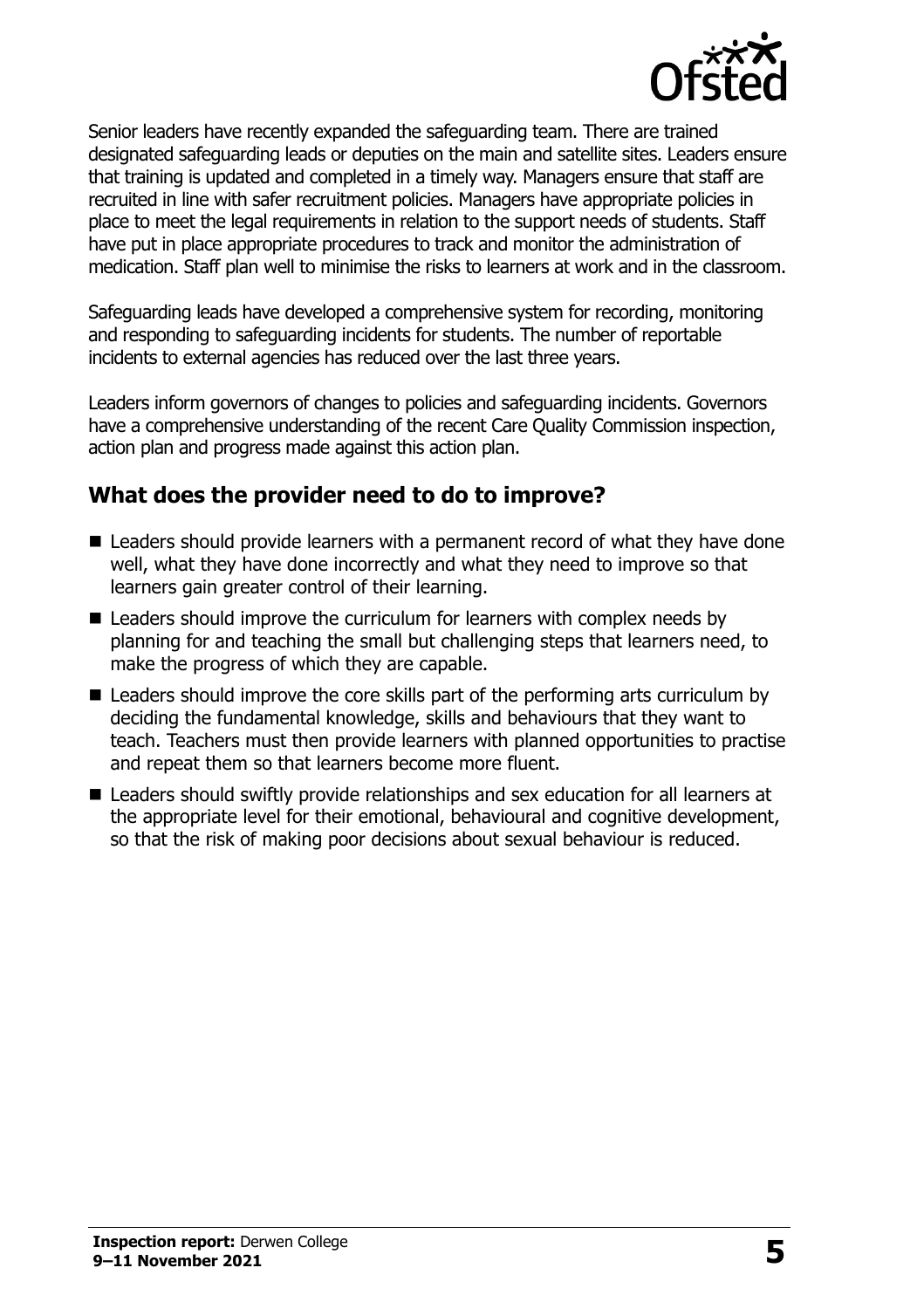

Senior leaders have recently expanded the safeguarding team. There are trained designated safeguarding leads or deputies on the main and satellite sites. Leaders ensure that training is updated and completed in a timely way. Managers ensure that staff are recruited in line with safer recruitment policies. Managers have appropriate policies in place to meet the legal requirements in relation to the support needs of students. Staff have put in place appropriate procedures to track and monitor the administration of medication. Staff plan well to minimise the risks to learners at work and in the classroom.

Safeguarding leads have developed a comprehensive system for recording, monitoring and responding to safeguarding incidents for students. The number of reportable incidents to external agencies has reduced over the last three years.

Leaders inform governors of changes to policies and safeguarding incidents. Governors have a comprehensive understanding of the recent Care Quality Commission inspection, action plan and progress made against this action plan.

#### **What does the provider need to do to improve?**

- Leaders should provide learners with a permanent record of what they have done well, what they have done incorrectly and what they need to improve so that learners gain greater control of their learning.
- Leaders should improve the curriculum for learners with complex needs by planning for and teaching the small but challenging steps that learners need, to make the progress of which they are capable.
- Leaders should improve the core skills part of the performing arts curriculum by deciding the fundamental knowledge, skills and behaviours that they want to teach. Teachers must then provide learners with planned opportunities to practise and repeat them so that learners become more fluent.
- Leaders should swiftly provide relationships and sex education for all learners at the appropriate level for their emotional, behavioural and cognitive development, so that the risk of making poor decisions about sexual behaviour is reduced.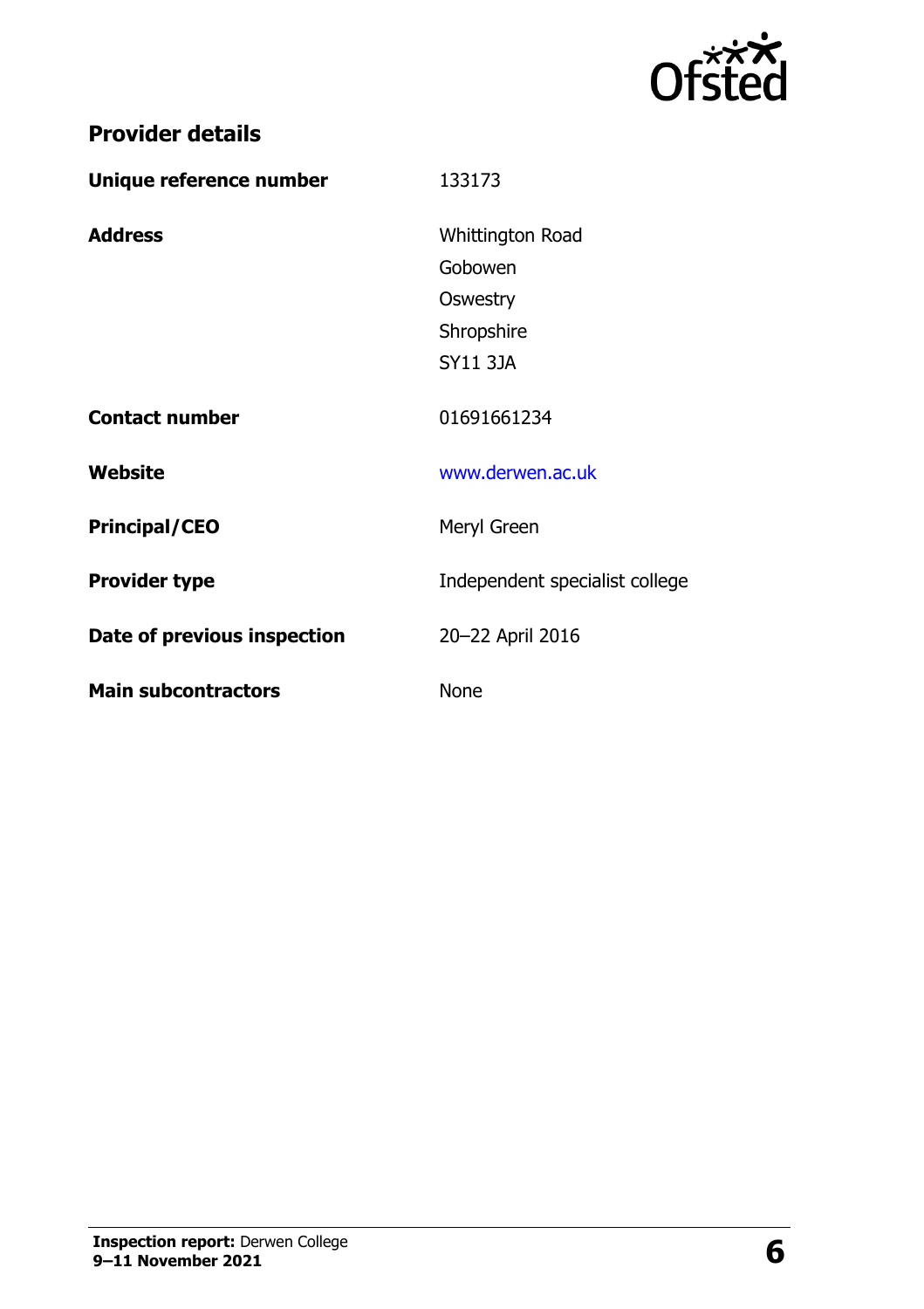

|  | <b>Provider details</b> |
|--|-------------------------|
|  |                         |

| Unique reference number     | 133173                         |
|-----------------------------|--------------------------------|
| <b>Address</b>              | Whittington Road               |
|                             | Gobowen                        |
|                             | Oswestry                       |
|                             | Shropshire                     |
|                             | <b>SY11 3JA</b>                |
| <b>Contact number</b>       | 01691661234                    |
| Website                     | www.derwen.ac.uk               |
| <b>Principal/CEO</b>        | Meryl Green                    |
| <b>Provider type</b>        | Independent specialist college |
| Date of previous inspection | 20-22 April 2016               |
| <b>Main subcontractors</b>  | <b>None</b>                    |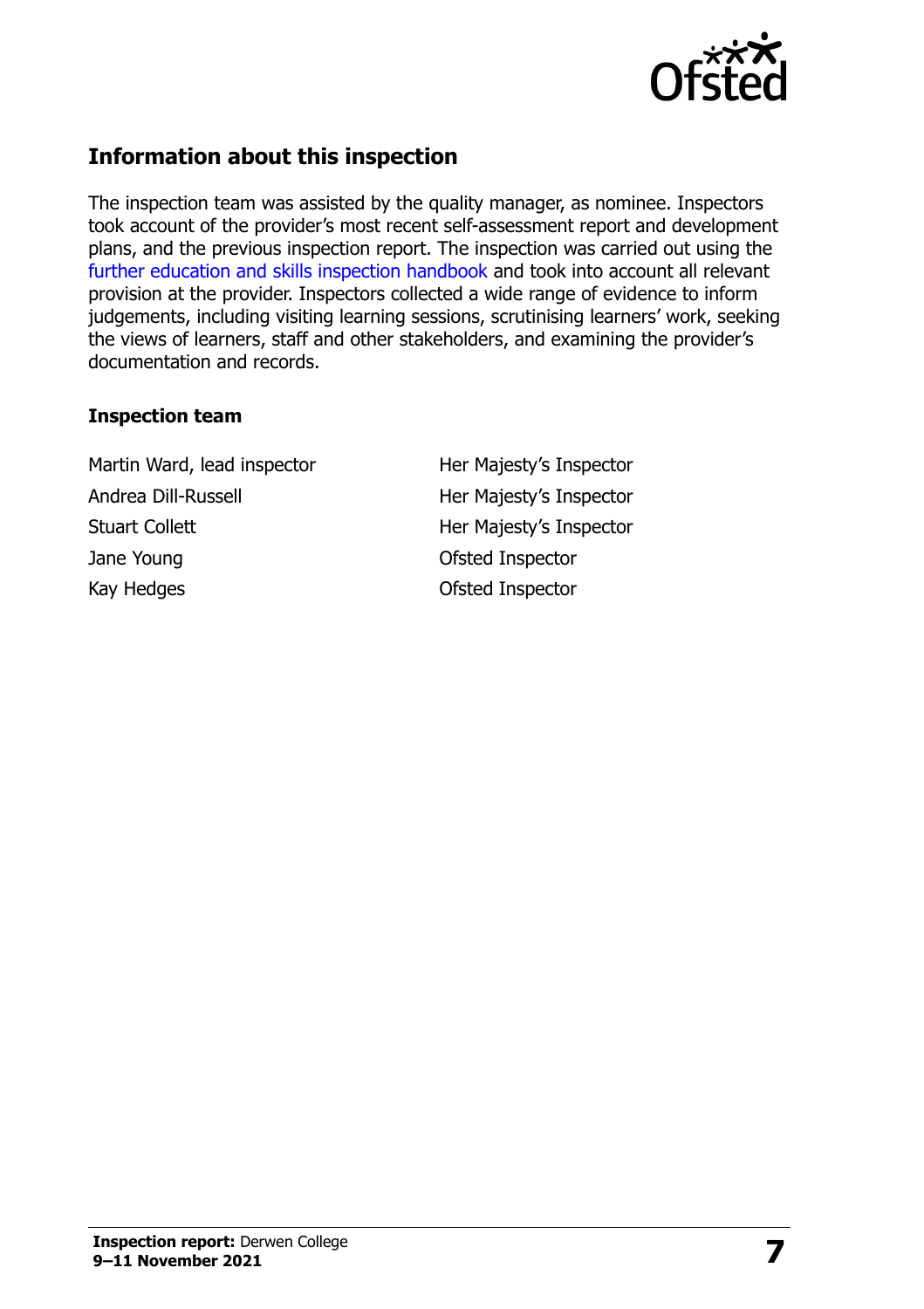

# **Information about this inspection**

The inspection team was assisted by the quality manager, as nominee. Inspectors took account of the provider's most recent self-assessment report and development plans, and the previous inspection report. The inspection was carried out using the [further education and skills inspection handbook](http://www.gov.uk/government/publications/further-education-and-skills-inspection-handbook-eif) and took into account all relevant provision at the provider. Inspectors collected a wide range of evidence to inform judgements, including visiting learning sessions, scrutinising learners' work, seeking the views of learners, staff and other stakeholders, and examining the provider's documentation and records.

#### **Inspection team**

Martin Ward, lead inspector **Her Majesty's Inspector** Andrea Dill-Russell **Her Majesty's Inspector** Stuart Collett **Her Majesty's Inspector** Jane Young **Department Control** Control Ofsted Inspector Kay Hedges **Contract Contract Contract Contract Contract Contract Contract Contract Contract Contract Contract Contract Contract Contract Contract Contract Contract Contract Contract Contract Contract Contract Contract Con**